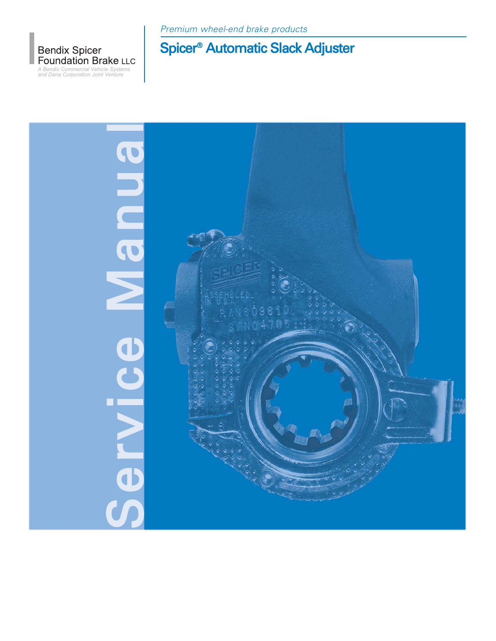

Premium wheel-end brake products

# Spicer® Automatic Slack Adjuster

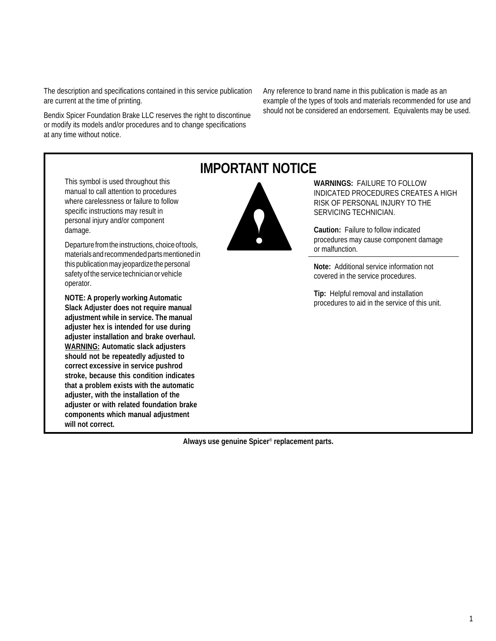The description and specifications contained in this service publication are current at the time of printing.

Bendix Spicer Foundation Brake LLC reserves the right to discontinue or modify its models and/or procedures and to change specifications at any time without notice.

Any reference to brand name in this publication is made as an example of the types of tools and materials recommended for use and should not be considered an endorsement. Equivalents may be used.

This symbol is used throughout this manual to call attention to procedures where carelessness or failure to follow specific instructions may result in personal injury and/or component damage.

Departure from the instructions, choice of tools, materials and recommended parts mentioned in this publication may jeopardize the personal safety of the service technician or vehicle operator.

**NOTE: A properly working Automatic Slack Adjuster does not require manual adjustment while in service. The manual adjuster hex is intended for use during adjuster installation and brake overhaul. WARNING: Automatic slack adjusters should not be repeatedly adjusted to correct excessive in service pushrod stroke, because this condition indicates that a problem exists with the automatic adjuster, with the installation of the adjuster or with related foundation brake components which manual adjustment will not correct.**

## **IMPORTANT NOTICE**



**WARNINGS:** FAILURE TO FOLLOW INDICATED PROCEDURES CREATES A HIGH RISK OF PERSONAL INJURY TO THE SERVICING TECHNICIAN.

**Caution:** Failure to follow indicated procedures may cause component damage or malfunction.

**Note:** Additional service information not covered in the service procedures.

**Tip:** Helpful removal and installation procedures to aid in the service of this unit.

**Always use genuine Spicer**® **replacement parts.**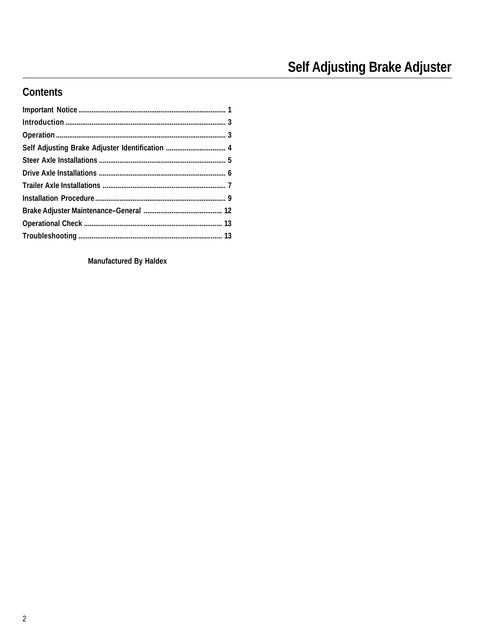## **Contents**

Manufactured By Haldex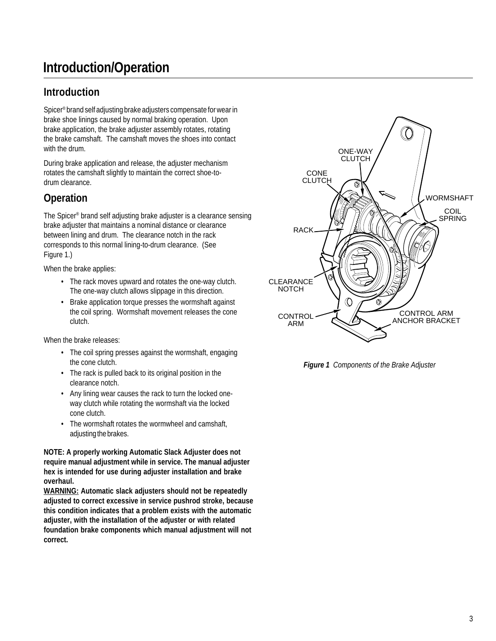# **Introduction/Operation**

### **Introduction**

Spicer® brand self adjusting brake adjusters compensate for wear in brake shoe linings caused by normal braking operation. Upon brake application, the brake adjuster assembly rotates, rotating the brake camshaft. The camshaft moves the shoes into contact with the drum.

During brake application and release, the adjuster mechanism rotates the camshaft slightly to maintain the correct shoe-todrum clearance.

## **Operation**

The Spicer® brand self adjusting brake adjuster is a clearance sensing brake adjuster that maintains a nominal distance or clearance between lining and drum. The clearance notch in the rack corresponds to this normal lining-to-drum clearance. (See Figure 1.)

When the brake applies:

- The rack moves upward and rotates the one-way clutch. The one-way clutch allows slippage in this direction.
- Brake application torque presses the wormshaft against the coil spring. Wormshaft movement releases the cone clutch.

When the brake releases:

- The coil spring presses against the wormshaft, engaging the cone clutch.
- The rack is pulled back to its original position in the clearance notch.
- Any lining wear causes the rack to turn the locked oneway clutch while rotating the wormshaft via the locked cone clutch.
- The wormshaft rotates the wormwheel and camshaft, adjusting the brakes.

**NOTE: A properly working Automatic Slack Adjuster does not require manual adjustment while in service. The manual adjuster hex is intended for use during adjuster installation and brake overhaul.**

**WARNING: Automatic slack adjusters should not be repeatedly adjusted to correct excessive in service pushrod stroke, because this condition indicates that a problem exists with the automatic adjuster, with the installation of the adjuster or with related foundation brake components which manual adjustment will not correct.**



*Figure 1 Components of the Brake Adjuster*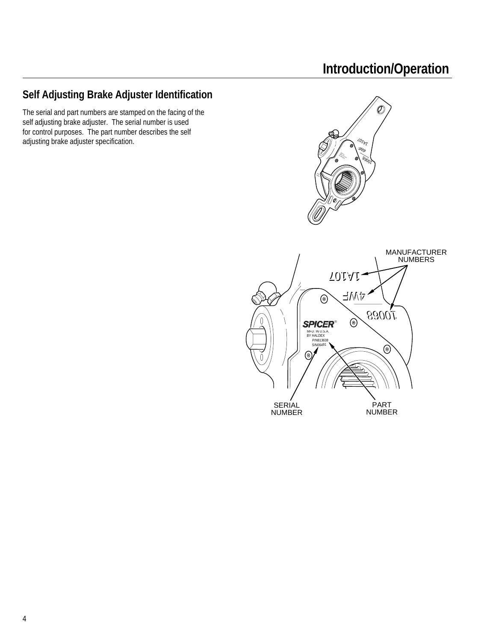# **Introduction/Operation**

## **Self Adjusting Brake Adjuster Identification**

The serial and part numbers are stamped on the facing of the self adjusting brake adjuster. The serial number is used for control purposes. The part number describes the self adjusting brake adjuster specification.

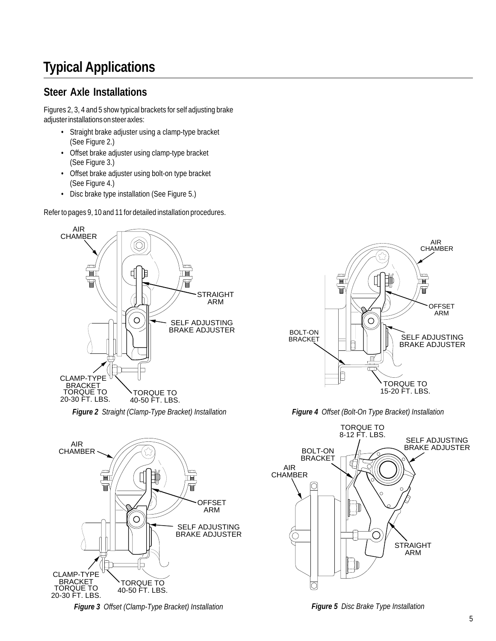# **Typical Applications**

## **Steer Axle Installations**

Figures 2, 3, 4 and 5 show typical brackets for self adjusting brake adjuster installations on steer axles:

- Straight brake adjuster using a clamp-type bracket (See Figure 2.)
- Offset brake adjuster using clamp-type bracket (See Figure 3.)
- Offset brake adjuster using bolt-on type bracket (See Figure 4.)
- Disc brake type installation (See Figure 5.)

Refer to pages 9, 10 and 11 for detailed installation procedures.



*Figure 2 Straight (Clamp-Type Bracket) Installation Figure 4 Offset (Bolt-On Type Bracket) Installation*



*Figure 3 Offset (Clamp-Type Bracket) Installation Figure 5 Disc Brake Type Installation*



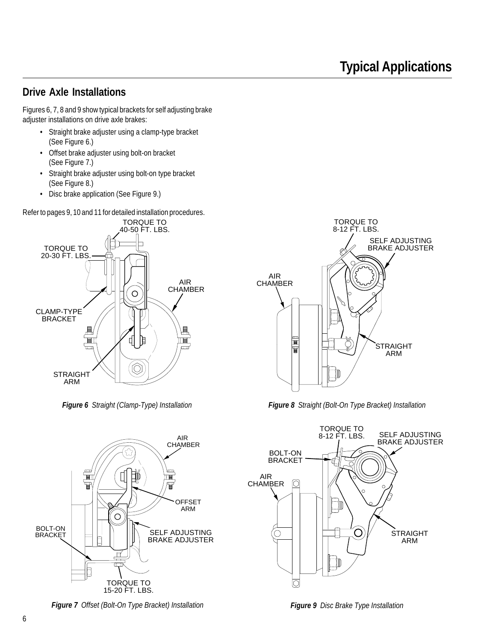### **Drive Axle Installations**

Figures 6, 7, 8 and 9 show typical brackets for self adjusting brake adjuster installations on drive axle brakes:

- Straight brake adjuster using a clamp-type bracket (See Figure 6.)
- Offset brake adjuster using bolt-on bracket (See Figure 7.)
- Straight brake adjuster using bolt-on type bracket (See Figure 8.)
- Disc brake application (See Figure 9.)

Refer to pages 9, 10 and 11 for detailed installation procedures.



*Figure 6 Straight (Clamp-Type) Installation*



*Figure 7 Offset (Bolt-On Type Bracket) Installation*



*Figure 8 Straight (Bolt-On Type Bracket) Installation*



*Figure 9 Disc Brake Type Installation*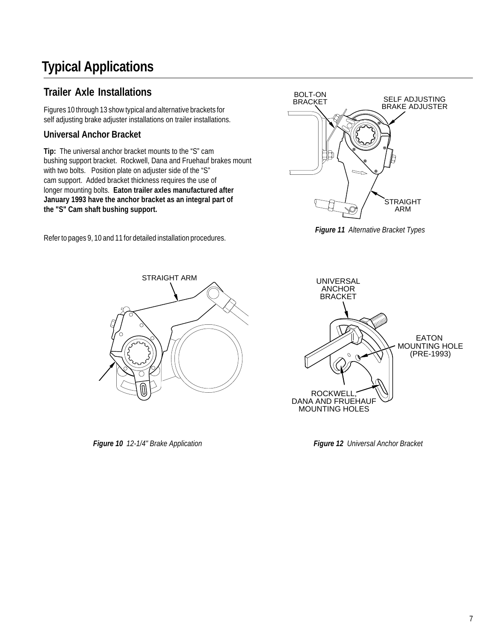# **Typical Applications**

## **Trailer Axle Installations**

Figures 10 through 13 show typical and alternative brackets for self adjusting brake adjuster installations on trailer installations.

### **Universal Anchor Bracket**

**Tip:** The universal anchor bracket mounts to the "S" cam bushing support bracket. Rockwell, Dana and Fruehauf brakes mount with two bolts. Position plate on adjuster side of the "S" cam support. Added bracket thickness requires the use of longer mounting bolts. **Eaton trailer axles manufactured after January 1993 have the anchor bracket as an integral part of the "S" Cam shaft bushing support.**

Refer to pages 9, 10 and 11 for detailed installation procedures.



*Figure 11 Alternative Bracket Types*



*Figure 10 12-1/4" Brake Application Figure 12 Universal Anchor Bracket*

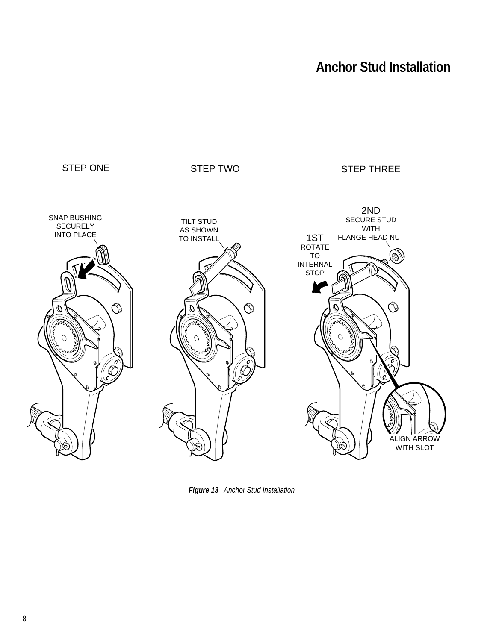

*Figure 13 Anchor Stud Installation*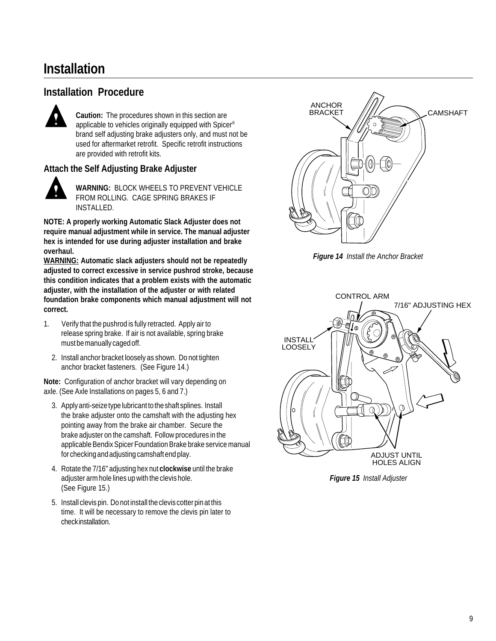## **Installation**

### **Installation Procedure**



**Caution:** The procedures shown in this section are applicable to vehicles originally equipped with Spicer® brand self adjusting brake adjusters only, and must not be used for aftermarket retrofit. Specific retrofit instructions are provided with retrofit kits.

### **Attach the Self Adjusting Brake Adjuster**



**WARNING:** BLOCK WHEELS TO PREVENT VEHICLE FROM ROLLING. CAGE SPRING BRAKES IF INSTALLED.

**NOTE: A properly working Automatic Slack Adjuster does not require manual adjustment while in service. The manual adjuster hex is intended for use during adjuster installation and brake overhaul.**

**WARNING: Automatic slack adjusters should not be repeatedly adjusted to correct excessive in service pushrod stroke, because this condition indicates that a problem exists with the automatic adjuster, with the installation of the adjuster or with related foundation brake components which manual adjustment will not correct.**

- 1. Verify that the pushrod is fully retracted. Apply air to release spring brake. If air is not available, spring brake must be manually caged off.
	- 2. Install anchor bracket loosely as shown. Do not tighten anchor bracket fasteners. (See Figure 14.)

**Note:** Configuration of anchor bracket will vary depending on axle. (See Axle Installations on pages 5, 6 and 7.)

- 3. Apply anti-seize type lubricant to the shaft splines. Install the brake adjuster onto the camshaft with the adjusting hex pointing away from the brake air chamber. Secure the brake adjuster on the camshaft. Follow procedures in the applicable Bendix Spicer Foundation Brake brake service manual for checking and adjusting camshaft end play.
- 4. Rotate the 7/16" adjusting hex nut **clockwise** until the brake adjuster arm hole lines up with the clevis hole. (See Figure 15.)
- 5. Install clevis pin. Do not install the clevis cotter pin at this time. It will be necessary to remove the clevis pin later to check installation.



*Figure 14 Install the Anchor Bracket*



*Figure 15 Install Adjuster*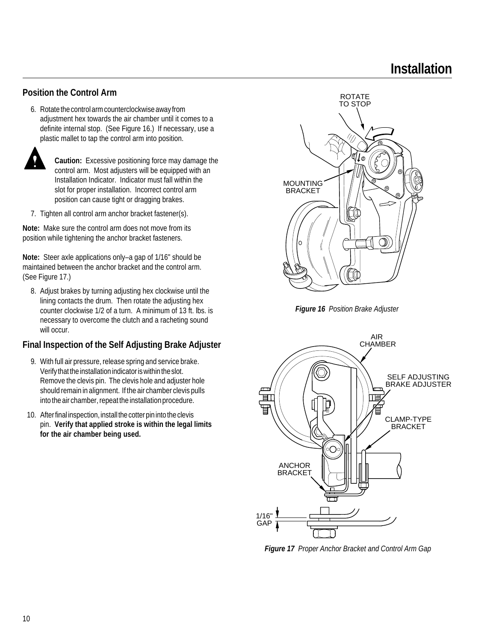# **Installation**

### **Position the Control Arm**

6. Rotate the control arm counterclockwise away from adjustment hex towards the air chamber until it comes to a definite internal stop. (See Figure 16.) If necessary, use a plastic mallet to tap the control arm into position.



**Caution:** Excessive positioning force may damage the control arm. Most adjusters will be equipped with an Installation Indicator. Indicator must fall within the slot for proper installation. Incorrect control arm position can cause tight or dragging brakes.

7. Tighten all control arm anchor bracket fastener(s).

**Note:** Make sure the control arm does not move from its position while tightening the anchor bracket fasteners.

**Note:** Steer axle applications only–a gap of 1/16" should be maintained between the anchor bracket and the control arm. (See Figure 17.)

8. Adjust brakes by turning adjusting hex clockwise until the lining contacts the drum. Then rotate the adjusting hex counter clockwise 1/2 of a turn. A minimum of 13 ft. lbs. is necessary to overcome the clutch and a racheting sound will occur.

### **Final Inspection of the Self Adjusting Brake Adjuster**

- 9. With full air pressure, release spring and service brake. Verify that the installation indicator is within the slot. Remove the clevis pin. The clevis hole and adjuster hole should remain in alignment. If the air chamber clevis pulls into the air chamber, repeat the installation procedure.
- 10. After final inspection, install the cotter pin into the clevis pin. **Verify that applied stroke is within the legal limits for the air chamber being used.**



*Figure 16 Position Brake Adjuster*



*Figure 17 Proper Anchor Bracket and Control Arm Gap*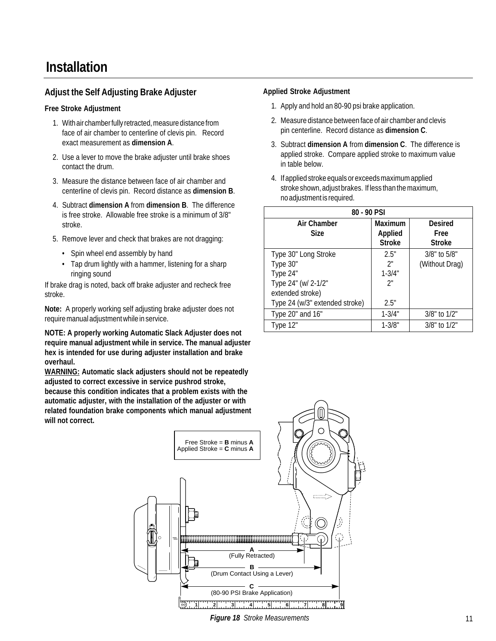#### **Adjust the Self Adjusting Brake Adjuster**

#### **Free Stroke Adjustment**

- 1. With air chamber fully retracted, measure distance from face of air chamber to centerline of clevis pin. Record exact measurement as **dimension A**.
- 2. Use a lever to move the brake adjuster until brake shoes contact the drum.
- 3. Measure the distance between face of air chamber and centerline of clevis pin. Record distance as **dimension B**.
- 4. Subtract **dimension A** from **dimension B**. The difference is free stroke. Allowable free stroke is a minimum of 3/8" stroke.
- 5. Remove lever and check that brakes are not dragging:
	- Spin wheel end assembly by hand
	- Tap drum lightly with a hammer, listening for a sharp ringing sound

If brake drag is noted, back off brake adjuster and recheck free stroke.

**Note:** A properly working self adjusting brake adjuster does not require manual adjustment while in service.

**NOTE: A properly working Automatic Slack Adjuster does not require manual adjustment while in service. The manual adjuster hex is intended for use during adjuster installation and brake overhaul.**

**WARNING: Automatic slack adjusters should not be repeatedly adjusted to correct excessive in service pushrod stroke, because this condition indicates that a problem exists with the automatic adjuster, with the installation of the adjuster or with related foundation brake components which manual adjustment will not correct.**

#### **Applied Stroke Adjustment**

- 1. Apply and hold an 80-90 psi brake application.
- 2. Measure distance between face of air chamber and clevis pin centerline. Record distance as **dimension C**.
- 3. Subtract **dimension A** from **dimension C**. The difference is applied stroke. Compare applied stroke to maximum value in table below.
- 4. If applied stroke equals or exceeds maximum applied stroke shown, adjust brakes. If less than the maximum, no adjustment is required.

| 80 - 90 PSI                    |                                                   |                                         |  |
|--------------------------------|---------------------------------------------------|-----------------------------------------|--|
| Air Chamber<br><b>Size</b>     | <b>Maximum</b><br><b>Applied</b><br><b>Stroke</b> | <b>Desired</b><br>Free<br><b>Stroke</b> |  |
| Type 30" Long Stroke           | 2.5"                                              | $3/8"$ to $5/8"$                        |  |
| Type 30"                       | 2"                                                | (Without Drag)                          |  |
| Type 24"                       | $1 - 3/4"$                                        |                                         |  |
| Type 24" (w/ 2-1/2"            | 2"                                                |                                         |  |
| extended stroke)               |                                                   |                                         |  |
| Type 24 (w/3" extended stroke) | 2.5"                                              |                                         |  |
| Type 20" and 16"               | $1 - 3/4"$                                        | $3/8$ " to $1/2$ "                      |  |
| Type 12"                       | $1 - 3/8"$                                        | $3/8$ " to $1/2$ "                      |  |

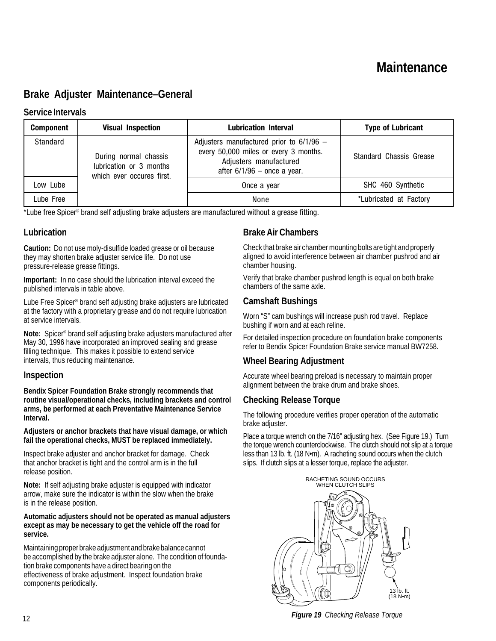### **Brake Adjuster Maintenance–General**

#### **Service Intervals**

| <b>Component</b> | <b>Visual Inspection</b>                                                                               | <b>Lubrication Interval</b>                                                                                                                    | <b>Type of Lubricant</b> |
|------------------|--------------------------------------------------------------------------------------------------------|------------------------------------------------------------------------------------------------------------------------------------------------|--------------------------|
| Standard         | During normal chassis<br>lubrication or 3 months<br>which ever occures first.<br>Low Lube<br>Lube Free | Adjusters manufactured prior to $6/1/96$ -<br>every 50,000 miles or every 3 months.<br>Adjusters manufactured<br>after $6/1/96$ – once a year. | Standard Chassis Grease  |
|                  |                                                                                                        | Once a year                                                                                                                                    | SHC 460 Synthetic        |
|                  |                                                                                                        | None                                                                                                                                           | *Lubricated at Factory   |

\*Lube free Spicer® brand self adjusting brake adjusters are manufactured without a grease fitting.

#### **Lubrication**

**Caution:** Do not use moly-disulfide loaded grease or oil because they may shorten brake adjuster service life. Do not use pressure-release grease fittings.

**Important:** In no case should the lubrication interval exceed the published intervals in table above.

Lube Free Spicer® brand self adjusting brake adjusters are lubricated at the factory with a proprietary grease and do not require lubrication at service intervals.

**Note:** Spicer® brand self adjusting brake adjusters manufactured after May 30, 1996 have incorporated an improved sealing and grease filling technique. This makes it possible to extend service intervals, thus reducing maintenance.

#### **Inspection**

**Bendix Spicer Foundation Brake strongly recommends that routine visual/operational checks, including brackets and control arms, be performed at each Preventative Maintenance Service Interval.**

#### **Adjusters or anchor brackets that have visual damage, or which fail the operational checks, MUST be replaced immediately.**

Inspect brake adjuster and anchor bracket for damage. Check that anchor bracket is tight and the control arm is in the full release position.

**Note:** If self adjusting brake adjuster is equipped with indicator arrow, make sure the indicator is within the slow when the brake is in the release position.

#### **Automatic adjusters should not be operated as manual adjusters except as may be necessary to get the vehicle off the road for service.**

Maintaining proper brake adjustment and brake balance cannot be accomplished by the brake adjuster alone. The condition of foundation brake components have a direct bearing on the effectiveness of brake adjustment. Inspect foundation brake components periodically.

#### **Brake Air Chambers**

Check that brake air chamber mounting bolts are tight and properly aligned to avoid interference between air chamber pushrod and air chamber housing.

Verify that brake chamber pushrod length is equal on both brake chambers of the same axle.

#### **Camshaft Bushings**

Worn "S" cam bushings will increase push rod travel. Replace bushing if worn and at each reline.

For detailed inspection procedure on foundation brake components refer to Bendix Spicer Foundation Brake service manual BW7258.

#### **Wheel Bearing Adjustment**

Accurate wheel bearing preload is necessary to maintain proper alignment between the brake drum and brake shoes.

#### **Checking Release Torque**

The following procedure verifies proper operation of the automatic brake adjuster.

Place a torque wrench on the 7/16" adjusting hex. (See Figure 19.) Turn the torque wrench counterclockwise. The clutch should not slip at a torque less than 13 lb. ft. (18 N•m). A racheting sound occurs when the clutch slips. If clutch slips at a lesser torque, replace the adjuster.



*Figure 19 Checking Release Torque*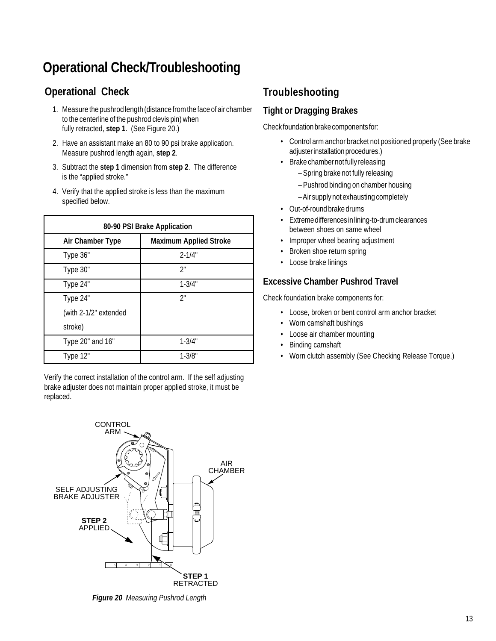# **Operational Check/Troubleshooting**

## **Operational Check**

- 1. Measure the pushrod length (distance from the face of air chamber to the centerline of the pushrod clevis pin) when fully retracted, **step 1**. (See Figure 20.)
- 2. Have an assistant make an 80 to 90 psi brake application. Measure pushrod length again, **step 2**.
- 3. Subtract the **step 1** dimension from **step 2**. The difference is the "applied stroke."
- 4. Verify that the applied stroke is less than the maximum specified below.

| 80-90 PSI Brake Application |                               |  |  |
|-----------------------------|-------------------------------|--|--|
| Air Chamber Type            | <b>Maximum Applied Stroke</b> |  |  |
| Type 36"                    | $2 - 1/4"$                    |  |  |
| Type 30"                    | ን"                            |  |  |
| Type 24"                    | $1 - 3/4"$                    |  |  |
| Type 24"                    | 2"                            |  |  |
| (with 2-1/2" extended       |                               |  |  |
| stroke)                     |                               |  |  |
| Type 20" and 16"            | $1 - 3/4"$                    |  |  |
| Type 12"                    | $1 - 3/8"$                    |  |  |

Verify the correct installation of the control arm. If the self adjusting brake adjuster does not maintain proper applied stroke, it must be replaced.



*Figure 20 Measuring Pushrod Length*

## **Troubleshooting**

### **Tight or Dragging Brakes**

Check foundation brake components for:

- Control arm anchor bracket not positioned properly (See brake adjuster installation procedures.)
- Brake chamber not fully releasing
	- Spring brake not fully releasing
	- Pushrod binding on chamber housing
	- Air supply not exhausting completely
- Out-of-round brake drums
- Extreme differences in lining-to-drum clearances between shoes on same wheel
- Improper wheel bearing adjustment
- Broken shoe return spring
- Loose brake linings

### **Excessive Chamber Pushrod Travel**

Check foundation brake components for:

- Loose, broken or bent control arm anchor bracket
- Worn camshaft bushings
- Loose air chamber mounting
- Binding camshaft
- Worn clutch assembly (See Checking Release Torque.)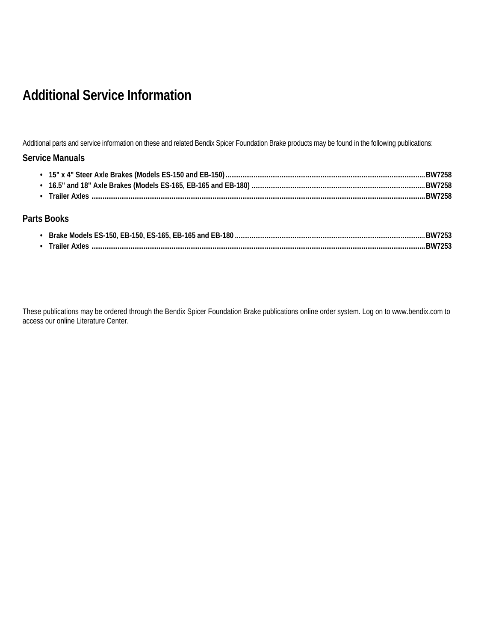# **Additional Service Information**

Additional parts and service information on these and related Bendix Spicer Foundation Brake products may be found in the following publications:

#### **Service Manuals**

|  | <b>RW7258</b> |
|--|---------------|

#### **Parts Books**

| Brake Models ES-150, EB-150, ES-165, EB-165 and EB-180 | <b>BW72F</b> |
|--------------------------------------------------------|--------------|
| <b>Trailer Axles</b>                                   | <b>RW72F</b> |

These publications may be ordered through the Bendix Spicer Foundation Brake publications online order system. Log on to www.bendix.com to access our online Literature Center.